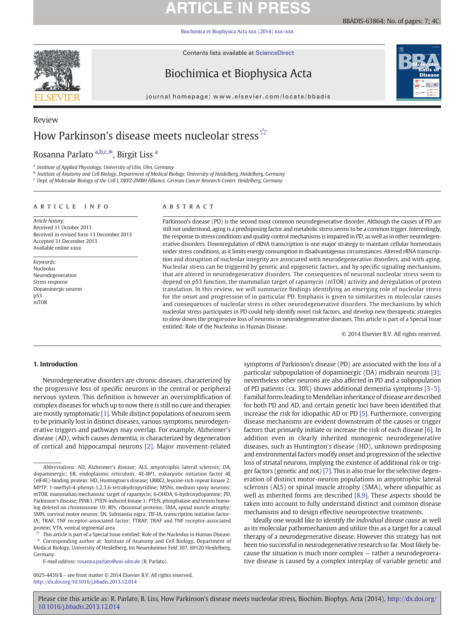# **ARTICLE IN PRESS**

[Biochimica et Biophysica Acta xxx \(2014\) xxx](http://dx.doi.org/10.1016/j.bbadis.2013.12.014)–xxx

Contents lists available at [ScienceDirect](http://www.sciencedirect.com/science/journal/09254439)



Biochimica et Biophysica Acta



journal homepage: www.elsevier.com/locate/bbadis

# Review How Parkinson's disease meets nucleolar stress<sup>☆</sup>

## Rosanna Parlato <sup>a,b,c,\*</sup>, Birgit Liss <sup>a</sup>

<sup>a</sup> Institute of Applied Physiology, University of Ulm, Ulm, Germany

**b** Institute of Anatomy and Cell Biology, Department of Medical Biology, University of Heidelberg, Heidelberg, Germany

<sup>c</sup> Dept. of Molecular Biology of the Cell I, DKFZ-ZMBH Alliance, German Cancer Research Center, Heidelberg, Germany

### article info abstract

Article history: Received 11 October 2013 Received in revised form 13 December 2013 Accepted 31 December 2013 Available online xxxx

Keywords: Nucleolus Neurodegeneration Stress response Dopaminergic neuron p53 mTOR

Parkinson's disease (PD) is the second most common neurodegenerative disorder. Although the causes of PD are still not understood, aging is a predisposing factor and metabolic stress seems to be a common trigger. Interestingly, the response to stress conditions and quality control mechanisms is impaired in PD, as well as in other neurodegenerative disorders. Downregulation of rRNA transcription is one major strategy to maintain cellular homeostasis under stress conditions, as it limits energy consumption in disadvantageous circumstances. Altered rRNA transcription and disruption of nucleolar integrity are associated with neurodegenerative disorders, and with aging. Nucleolar stress can be triggered by genetic and epigenetic factors, and by specific signaling mechanisms, that are altered in neurodegenerative disorders. The consequences of neuronal nucleolar stress seem to depend on p53 function, the mammalian target of rapamycin (mTOR) activity and deregulation of protein translation. In this review, we will summarize findings identifying an emerging role of nucleolar stress for the onset and progression of in particular PD. Emphasis is given to similarities in molecular causes and consequences of nucleolar stress in other neurodegenerative disorders. The mechanisms by which nucleolar stress participates in PD could help identify novel risk factors, and develop new therapeutic strategies to slow down the progressive loss of neurons in neurodegenerative diseases. This article is part of a Special Issue entitled: Role of the Nucleolus in Human Disease.

© 2014 Elsevier B.V. All rights reserved.

### 1. Introduction

Neurodegenerative disorders are chronic diseases, characterized by the progressive loss of specific neurons in the central or peripheral nervous system. This definition is however an oversimplification of complex diseases for which up to now there is still no cure and therapies are mostly symptomatic [1]. While distinct populations of neurons seem to be primarily lost in distinct diseases, various symptoms, neurodegenerative triggers and pathways may overlap. For example, Alzheimer's disease (AD), which causes dementia, is characterized by degeneration of cortical and hippocampal neurons [2]. Major movement-related

⁎ Corresponding author at: Institute of Anatomy and Cell Biology, Department of Medical Biology, University of Heidelberg, Im Neuenheimer Feld 307, 69120 Heidelberg, Germany.

E-mail address: [rosanna.parlato@uni-ulm.de](mailto:rosanna.parlato@uni-ulm.de) (R. Parlato).

0925-4439/\$ – see front matter © 2014 Elsevier B.V. All rights reserved. <http://dx.doi.org/10.1016/j.bbadis.2013.12.014>

symptoms of Parkinson's disease (PD) are associated with the loss of a particular subpopulation of dopaminergic (DA) midbrain neurons [3]; nevertheless other neurons are also affected in PD and a subpopulation of PD patients (ca. 30%) shows additional dementia symptoms [3–[5\].](#page-4-0) Familial forms leading to Mendelian inheritance of disease are described for both PD and AD, and certain genetic loci have been identified that increase the risk for idiopathic AD or PD [5]. Furthermore, converging disease mechanisms are evident downstream of the causes or trigger factors that primarily initiate or increase the risk of each disease [6]. In addition even in clearly inherited monogenic neurodegenerative diseases, such as Huntington's disease (HD), unknown predisposing and environmental factors modify onset and progression of the selective loss of striatal neurons, implying the existence of additional risk or trigger factors (genetic and not) [7]. This is also true for the selective degeneration of distinct motor-neuron populations in amyotrophic lateral sclerosis (ALS) or spinal muscle atrophy (SMA), where idiopathic as well as inherited forms are described [\[8,9\]](#page-4-0). These aspects should be taken into account to fully understand distinct and common disease mechanisms and to design effective neuroprotective treatments.

Ideally one would like to identify the individual disease cause as well as its molecular pathomechanism and utilize this as a target for a causal therapy of a neurodegenerative disease. However this strategy has not been too successful in neurodegenerative research so far. Most likely because the situation is much more complex — rather a neurodegenerative disease is caused by a complex interplay of variable genetic and

Abbreviations: AD, Alzheimer's disease; ALS, amyotrophic lateral sclerosis; DA, dopaminergic; ER, endoplasmic reticulum; 4E-BP1, eukaryotic initiation factor 4E (eIF4E)-binding protein; HD, Huntington's disease; LRRK2, leucine-rich repeat kinase 2; MPTP, 1-methyl-4-phenyl-1,2,3,6-tetrahydropyridine; MSNs, medium spiny neurons; mTOR, mammalian/mechanistic target of rapamycin; 6-OHDA, 6-hydroxydopamine; PD, Parkinson's disease; PINK1, PTEN-induced kinase 1; PTEN, phosphatase and tensin homolog deleted on chromosome 10; RPs, ribosomal proteins; SMA, spinal muscle atrophy; SMN, survival motor neuron; SN, Substantia nigra; TIF-IA, transcription initiation factor-IA; TRAF, TNF receptor-associated factor; TTRAP, TRAF and TNF receptor-associated protein; VTA, ventral tegmental area

This article is part of a Special Issue entitled: Role of the Nucleolus in Human Disease.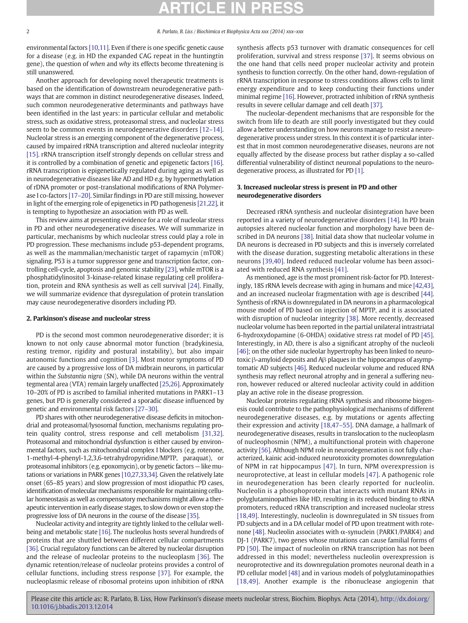environmental factors [\[10,11\]](#page-4-0). Even if there is one specific genetic cause for a disease (e.g. in HD the expanded CAG repeat in the huntingtin gene), the question of when and why its effects become threatening is still unanswered.

Another approach for developing novel therapeutic treatments is based on the identification of downstream neurodegenerative pathways that are common in distinct neurodegenerative diseases. Indeed, such common neurodegenerative determinants and pathways have been identified in the last years: in particular cellular and metabolic stress, such as oxidative stress, proteasomal stress, and nucleolar stress seem to be common events in neurodegenerative disorders [12–[14\].](#page-4-0) Nucleolar stress is an emerging component of the degenerative process, caused by impaired rRNA transcription and altered nucleolar integrity [15]. rRNA transcription itself strongly depends on cellular stress and it is controlled by a combination of genetic and epigenetic factors [16]. rRNA transcription is epigenetically regulated during aging as well as in neurodegenerative diseases like AD and HD e.g. by hypermethylation of rDNA promoter or post-translational modifications of RNA Polymerase I co-factors [\[17](#page-4-0)–20]. Similar findings in PD are still missing, however in light of the emerging role of epigenetics in PD pathogenesis [\[21,22\]](#page-4-0), it is tempting to hypothesize an association with PD as well.

This review aims at presenting evidence for a role of nucleolar stress in PD and other neurodegenerative diseases. We will summarize in particular, mechanisms by which nucleolar stress could play a role in PD progression. These mechanisms include p53-dependent programs, as well as the mammalian/mechanistic target of rapamycin (mTOR) signaling. P53 is a tumor suppressor gene and transcription factor, controlling cell-cycle, apoptosis and genomic stability [23], while mTOR is a phosphatidylinositol 3-kinase-related kinase regulating cell proliferation, protein and RNA synthesis as well as cell survival [24]. Finally, we will summarize evidence that dysregulation of protein translation may cause neurodegenerative disorders including PD.

#### 2. Parkinson's disease and nucleolar stress

PD is the second most common neurodegenerative disorder; it is known to not only cause abnormal motor function (bradykinesia, resting tremor, rigidity and postural instability), but also impair autonomic functions and cognition [3]. Most motor symptoms of PD are caused by a progressive loss of DA midbrain neurons, in particular within the Substantia nigra (SN), while DA neurons within the ventral tegmental area (VTA) remain largely unaffected [\[25,26\]](#page-4-0). Approximately 10–20% of PD is ascribed to familial inherited mutations in PARK1–13 genes, but PD is generally considered a sporadic disease influenced by genetic and environmental risk factors [\[27](#page-5-0)–30].

PD shares with other neurodegenerative disease deficits in mitochondrial and proteasomal/lysosomal function, mechanisms regulating protein quality control, stress response and cell metabolism [\[31,32\].](#page-5-0) Proteasomal and mitochondrial dysfunction is either caused by environmental factors, such as mitochondrial complex I blockers (e.g. rotenone, 1-methyl-4-phenyl-1,2,3,6-tetrahydropyridine/MPTP, paraquat), or proteasomal inhibitors (e.g. epoxomycin), or by genetic factors — like mutations or variations in PARK genes [\[10,27,33,34\].](#page-4-0) Given the relatively late onset (65–85 years) and slow progression of most idiopathic PD cases, identification of molecular mechanisms responsible for maintaining cellular homeostasis as well as compensatory mechanisms might allow a therapeutic intervention in early disease stages, to slow down or even stop the progressive loss of DA neurons in the course of the disease [35].

Nucleolar activity and integrity are tightly linked to the cellular wellbeing and metabolic state [16]. The nucleolus hosts several hundreds of proteins that are shuttled between different cellular compartments [36]. Crucial regulatory functions can be altered by nucleolar disruption and the release of nucleolar proteins to the nucleoplasm [36]. The dynamic retention/release of nucleolar proteins provides a control of cellular functions, including stress response [37]. For example, the nucleoplasmic release of ribosomal proteins upon inhibition of rRNA

synthesis affects p53 turnover with dramatic consequences for cell proliferation, survival and stress response [37]. It seems obvious on the one hand that cells need proper nucleolar activity and protein synthesis to function correctly. On the other hand, down-regulation of rRNA transcription in response to stress conditions allows cells to limit energy expenditure and to keep conducting their functions under minimal regime [16]. However, protracted inhibition of rRNA synthesis results in severe cellular damage and cell death [37].

The nucleolar-dependent mechanisms that are responsible for the switch from life to death are still poorly investigated but they could allow a better understanding on how neurons manage to resist a neurodegenerative process under stress. In this context it is of particular interest that in most common neurodegenerative diseases, neurons are not equally affected by the disease process but rather display a so-called differential vulnerability of distinct neuronal populations to the neurodegenerative process, as illustrated for PD [1].

### 3. Increased nucleolar stress is present in PD and other neurodegenerative disorders

Decreased rRNA synthesis and nucleolar disintegration have been reported in a variety of neurodegenerative disorders [14]. In PD brain autopsies altered nucleolar function and morphology have been described in DA neurons [38]. Initial data show that nucleolar volume in DA neurons is decreased in PD subjects and this is inversely correlated with the disease duration, suggesting metabolic alterations in these neurons [\[39,40\].](#page-5-0) Indeed reduced nucleolar volume has been associated with reduced RNA synthesis [41].

As mentioned, age is the most prominent risk-factor for PD. Interestingly, 18S rRNA levels decrease with aging in humans and mice [\[42,43\],](#page-5-0) and an increased nucleolar fragmentation with age is described [44]. Synthesis of rRNA is downregulated in DA neurons in a pharmacological mouse model of PD based on injection of MPTP, and it is associated with disruption of nucleolar integrity [38]. More recently, decreased nucleolar volume has been reported in the partial unilateral intrastriatal 6-hydroxydopamine (6-OHDA) oxidative stress rat model of PD [45]. Interestingly, in AD, there is also a significant atrophy of the nucleoli [46]; on the other side nucleolar hypertrophy has been linked to neurotoxic β-amyloid deposits and Aβ plaques in the hippocampus of asymptomatic AD subjects [46]. Reduced nucleolar volume and reduced RNA synthesis may reflect neuronal atrophy and in general a suffering neuron, however reduced or altered nucleolar activity could in addition play an active role in the disease progression.

Nucleolar proteins regulating rRNA synthesis and ribosome biogenesis could contribute to the pathophysiological mechanisms of different neurodegenerative diseases, e.g. by mutations or agents affecting their expression and activity [\[18,47](#page-4-0)–55]. DNA damage, a hallmark of neurodegenerative diseases, results in translocation to the nucleoplasm of nucleophosmin (NPM), a multifunctional protein with chaperone activity [56]. Although NPM role in neurodegeneration is not fully characterized, kainic acid-induced neurotoxicity promotes downregulation of NPM in rat hippocampus [47]. In turn, NPM overexpression is neuroprotective, at least in cellular models [47]. A pathogenic role in neurodegeneration has been clearly reported for nucleolin. Nucleolin is a phosphoprotein that interacts with mutant RNAs in polyglutaminopathies like HD, resulting in its reduced binding to rRNA promoters, reduced rRNA transcription and increased nucleolar stress [\[18,49\].](#page-4-0) Interestingly, nucleolin is downregulated in SN tissues from PD subjects and in a DA cellular model of PD upon treatment with rotenone [48]. Nucleolin associates with  $\alpha$ -synuclein (PARK1/PARK4) and DJ-1 (PARK7), two genes whose mutations can cause familial forms of PD [50]. The impact of nucleolin on rRNA transcription has not been addressed in this model; nevertheless nucleolin overexpression is neuroprotective and its downregulation promotes neuronal death in a PD cellular model [48] and in various models of polyglutaminopathies [\[18,49\]](#page-4-0). Another example is the ribonuclease angiogenin that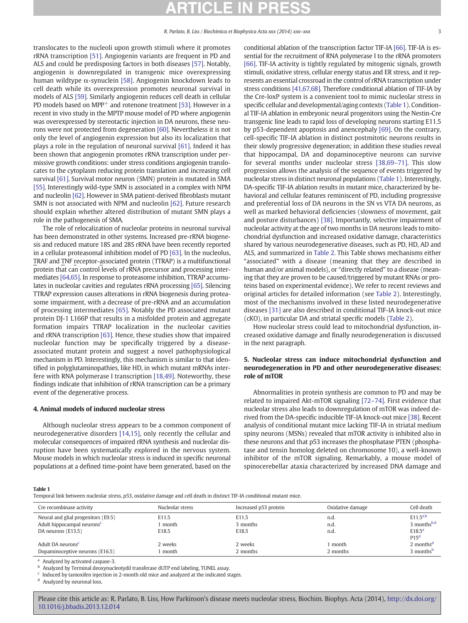translocates to the nucleoli upon growth stimuli where it promotes rRNA transcription [51]. Angiogenin variants are frequent in PD and ALS and could be predisposing factors in both diseases [57]. Notably, angiogenin is downregulated in transgenic mice overexpressing human wildtype α-synuclein [58]. Angiogenin knockdown leads to cell death while its overexpression promotes neuronal survival in models of ALS [59]. Similarly angiogenin reduces cell death in cellular PD models based on MPP<sup>+</sup> and rotenone treatment [53]. However in a recent in vivo study in the MPTP mouse model of PD where angiogenin was overexpressed by stereotactic injection in DA neurons, these neurons were not protected from degeneration [60]. Nevertheless it is not only the level of angiogenin expression but also its localization that plays a role in the regulation of neuronal survival [61]. Indeed it has been shown that angiogenin promotes rRNA transcription under permissive growth conditions: under stress conditions angiogenin translocates to the cytoplasm reducing protein translation and increasing cell survival [61]. Survival motor neuron (SMN) protein is mutated in SMA [55]. Interestingly wild-type SMN is associated in a complex with NPM and nucleolin [62]. However in SMA patient-derived fibroblasts mutant SMN is not associated with NPM and nucleolin [62]. Future research should explain whether altered distribution of mutant SMN plays a role in the pathogenesis of SMA.

The role of relocalization of nucleolar proteins in neuronal survival has been demonstrated in other systems. Increased pre-rRNA biogenesis and reduced mature 18S and 28S rRNA have been recently reported in a cellular proteasomal inhibition model of PD [63]. In the nucleolus, TRAF and TNF receptor-associated protein (TTRAP) is a multifunctional protein that can control levels of rRNA precursor and processing intermediates [\[64,65\].](#page-5-0) In response to proteasome inhibition, TTRAP accumulates in nucleolar cavities and regulates rRNA processing [65]. Silencing TTRAP expression causes alterations in rRNA biogenesis during proteasome impairment, with a decrease of pre-rRNA and an accumulation of processing intermediates [65]. Notably the PD associated mutant protein DJ-1 L166P that results in a misfolded protein and aggregate formation impairs TTRAP localization in the nucleolar cavities and rRNA transcription [63]. Hence, these studies show that impaired nucleolar function may be specifically triggered by a diseaseassociated mutant protein and suggest a novel pathophysiological mechanism in PD. Interestingly, this mechanism is similar to that identified in polyglutaminopathies, like HD, in which mutant mRNAs interfere with RNA polymerase I transcription [\[18,49\].](#page-4-0) Noteworthy, these findings indicate that inhibition of rRNA transcription can be a primary event of the degenerative process.

#### 4. Animal models of induced nucleolar stress

Although nucleolar stress appears to be a common component of neurodegenerative disorders [\[14,15\]](#page-4-0), only recently the cellular and molecular consequences of impaired rRNA synthesis and nucleolar disruption have been systematically explored in the nervous system. Mouse models in which nucleolar stress is induced in specific neuronal populations at a defined time-point have been generated, based on the conditional ablation of the transcription factor TIF-IA [66]. TIF-IA is essential for the recruitment of RNA polymerase I to the rRNA promoters [66]. TIF-IA activity is tightly regulated by mitogenic signals, growth stimuli, oxidative stress, cellular energy status and ER stress, and it represents an essential crossroad in the control of rRNA transcription under stress conditions [\[41,67,68\].](#page-5-0) Therefore conditional ablation of TIF-IA by the Cre-loxP system is a convenient tool to mimic nucleolar stress in specific cellular and developmental/aging contexts (Table 1). Conditional TIF-IA ablation in embryonic neural progenitors using the Nestin-Cre transgenic line leads to rapid loss of developing neurons starting E11.5 by p53-dependent apoptosis and anencephaly [69]. On the contrary, cell-specific TIF-IA ablation in distinct postmitotic neurons results in their slowly progressive degeneration; in addition these studies reveal that hippocampal, DA and dopaminoceptive neurons can survive for several months under nucleolar stress [\[38,69](#page-5-0)–71]. This slow progression allows the analysis of the sequence of events triggered by nucleolar stress in distinct neuronal populations (Table 1). Interestingly, DA-specific TIF-IA ablation results in mutant mice, characterized by behavioral and cellular features reminiscent of PD, including progressive and preferential loss of DA neurons in the SN vs VTA DA neurons, as well as marked behavioral deficiencies (slowness of movement, gait and posture disturbances) [38]. Importantly, selective impairment of nucleolar activity at the age of two months in DA neurons leads to mitochondrial dysfunction and increased oxidative damage, characteristics shared by various neurodegenerative diseases, such as PD, HD, AD and ALS, and summarized in Table 2. This Table shows mechanisms either "associated" with a disease (meaning that they are described in human and/or animal models), or "directly related" to a disease (meaning that they are proven to be caused/triggered by mutant RNAs or proteins based on experimental evidence). We refer to recent reviews and original articles for detailed information (see Table 2). Interestingly, most of the mechanisms involved in these listed neurodegenerative diseases [31] are also described in conditional TIF-IA knock-out mice (cKO), in particular DA and striatal specific models (Table 2).

How nucleolar stress could lead to mitochondrial dysfunction, increased oxidative damage and finally neurodegeneration is discussed in the next paragraph.

### 5. Nucleolar stress can induce mitochondrial dysfunction and neurodegeneration in PD and other neurodegenerative diseases: role of mTOR

Abnormalities in protein synthesis are common to PD and may be related to impaired Akt-mTOR signaling [72–[74\]](#page-5-0). First evidence that nucleolar stress also leads to downregulation of mTOR was indeed derived from the DA-specific inducible TIF-IA knock-out mice [38]. Recent analysis of conditional mutant mice lacking TIF-IA in striatal medium spiny neurons (MSNs) revealed that mTOR activity is inhibited also in these neurons and that p53 increases the phosphatase PTEN (phosphatase and tensin homolog deleted on chromosome 10), a well-known inhibitor of the mTOR signaling. Remarkably, a mouse model of spinocerebellar ataxia characterized by increased DNA damage and

Table 1

Temporal link between nucleolar stress, p53, oxidative damage and cell death in distinct TIF-IA conditional mutant mice.

| Cre recombinase activity                                                                            | Nucleolar stress        | Increased p53 protein      | Oxidative damage     | Cell death                                                                |
|-----------------------------------------------------------------------------------------------------|-------------------------|----------------------------|----------------------|---------------------------------------------------------------------------|
| Neural and glial progenitors (E9.5)<br>Adult hippocampal neurons <sup>c</sup><br>DA neurons (E13.5) | E11.5<br>month<br>E18.5 | E11.5<br>3 months<br>E18.5 | n.d.<br>n.d.<br>n.d. | $E11.5^{a,b}$<br>3 months $b,d$<br>E18.5 <sup>a</sup><br>P15 <sup>d</sup> |
| Adult DA neurons <sup>c</sup><br>Dopaminoceptive neurons (E16.5)                                    | 2 weeks<br>month        | 2 weeks<br>2 months        | month<br>2 months    | 2 months <sup>d</sup><br>3 months <sup>b</sup>                            |

<sup>a</sup> Analyzed by activated caspase-3.

<sup>b</sup> Analyzed by Terminal deoxynucleotydil transferase dUTP end labeling, TUNEL assay.

Induced by tamoxifen injection in 2-month old mice and analyzed at the indicated stages.

Analyzed by neuronal loss.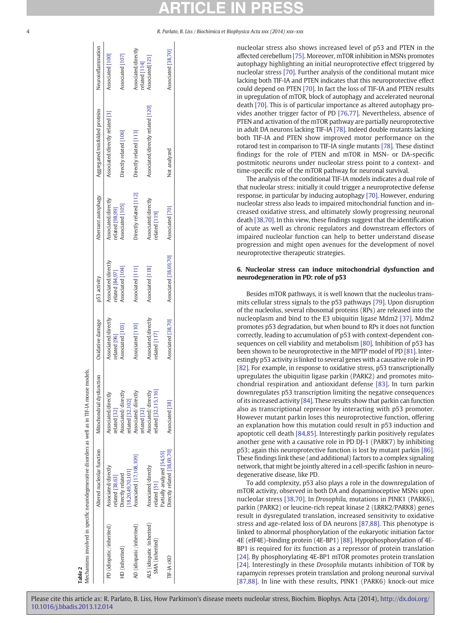nucleolar stress also shows increased level of p53 and PTEN in the affected cerebellum [75]. Moreover, mTOR inhibition in MSNs promotes autophagy highlighting an initial neuroprotective effect triggered by nucleolar stress [70]. Further analysis of the conditional mutant mice lacking both TIF-IA and PTEN indicates that this neuroprotective effect could depend on PTEN [70]. In fact the loss of TIF-IA and PTEN results in upregulation of mTOR, block of autophagy and accelerated neuronal death [70]. This is of particular importance as altered autophagy provides another trigger factor of PD [\[76,77\]](#page-5-0). Nevertheless, absence of PTEN and activation of the mTOR pathway are partially neuroprotective in adult DA neurons lacking TIF-IA [78]. Indeed double mutants lacking both TIF-IA and PTEN show improved motor performance on the rotarod test in comparison to TIF-IA single mutants [78]. These distinct findings for the role of PTEN and mTOR in MSN- or DA-specific postmitotic neurons under nucleolar stress point to a context- and time-specific role of the mTOR pathway for neuronal survival.

The analysis of the conditional TIF-IA models indicates a dual role of that nucleolar stress: initially it could trigger a neuroprotective defense response, in particular by inducing autophagy [70]. However, enduring nucleolar stress also leads to impaired mitochondrial function and increased oxidative stress, and ultimately slowly progressing neuronal death [\[38,70\].](#page-5-0) In this view, these findings suggest that the identification of acute as well as chronic regulators and downstream effectors of impaired nucleolar function can help to better understand disease progression and might open avenues for the development of novel neuroprotective therapeutic strategies.

### 6. Nucleolar stress can induce mitochondrial dysfunction and neurodegeneration in PD: role of p53

Besides mTOR pathways, it is well known that the nucleolus transmits cellular stress signals to the p53 pathways [79]. Upon disruption of the nucleolus, several ribosomal proteins (RPs) are released into the nucleoplasm and bind to the E3 ubiquitin ligase Mdm2 [37]. Mdm2 promotes p53 degradation, but when bound to RPs it does not function correctly, leading to accumulation of p53 with context-dependent consequences on cell viability and metabolism [80]. Inhibition of p53 has been shown to be neuroprotective in the MPTP model of PD [81]. Interestingly p53 activity is linked to several genes with a causative role in PD [82]. For example, in response to oxidative stress, p53 transcriptionally upregulates the ubiquitin ligase parkin (PARK2) and promotes mitochondrial respiration and antioxidant defense [83]. In turn parkin downregulates p53 transcription limiting the negative consequences of its increased activity [84]. These results show that parkin can function also as transcriptional repressor by interacting with p53 promoter. However mutant parkin loses this neuroprotective function, offering an explanation how this mutation could result in p53 induction and apoptotic cell death [\[84,85\]](#page-6-0). Interestingly parkin positively regulates another gene with a causative role in PD DJ-1 (PARK7) by inhibiting p53; again this neuroprotective function is lost by mutant parkin [86]. These findings link these (and additional) factors to a complex signaling network, that might be jointly altered in a cell-specific fashion in neurodegenerative disease, like PD.

To add complexity, p53 also plays a role in the downregulation of mTOR activity, observed in both DA and dopaminoceptive MSNs upon nucleolar stress [\[38,70\]](#page-5-0). In Drosophila, mutations in PINK1 (PARK6), parkin (PARK2) or leucine-rich repeat kinase 2 (LRRK2/PARK8) genes result in dysregulated translation, increased sensitivity to oxidative stress and age-related loss of DA neurons [\[87,88\]](#page-6-0). This phenotype is linked to abnormal phosphorylation of the eukaryotic initiation factor 4E (eIF4E)-binding protein (4E-BP1) [88]. Hypophosphorylation of 4E-BP1 is required for its function as a repressor of protein translation [24]. By phosphorylating 4E-BP1 mTOR promotes protein translation [24]. Interestingly in these Drosophila mutants inhibition of TOR by rapamycin represses protein translation and prolong neuronal survival [\[87,88\].](#page-6-0) In line with these results, PINK1 (PARK6) knock-out mice

|                                               | Altered nucleolar function                                | Mitochondrial dysfunction                   | Oxidative damage                     | p53 activity                           | Aberrant autophagy                     | Aggregated/misfolded proteins     | Neuroinflammation                    |
|-----------------------------------------------|-----------------------------------------------------------|---------------------------------------------|--------------------------------------|----------------------------------------|----------------------------------------|-----------------------------------|--------------------------------------|
| PD (idiopatic /inherited)                     | Associated/directly<br>related[38,63]                     | Associated/directly<br>related [32]         | Associated/directly<br>related [96]  | Associated/directly<br>related [84,97] | Associated/directly<br>related [98,99] | Associated/directly related [3]   | Associated [100]                     |
| HD (inherited)                                | 18,20,49,70,101]<br>Directly related                      | Associated/directly<br>related [32,102]     | Associated [103]                     | Associated [104]                       | Associated [105]                       | Directly related [106]            | Associated [107]                     |
| AD (idiopatic /inherited)                     | Associated [17,108,109]                                   | Associated/directly<br>related [32]         | Associated [110]                     | Associated [111]                       | Directly related [112]                 | Directly related [113]            | Associated/directly<br>related [114] |
| ALS (idiopatic /inherited)<br>SMA (inherited) | Associated/directly<br>related [51]                       | related [32,115,116]<br>Associated/directly | Associated/directly<br>related [117] | Associated [118]                       | Associated/directly<br>related [119]   | Associated/directly related [120] | Associated 121                       |
| TIF-IA CKO                                    | Directly related [38,69,70]<br>Partially analyzed [54,55] | Associated [38]                             | Associated [38,70]                   | Associated [38,69,70]                  | Associated [70]                        | Not analyzed                      | Associated [38,70]                   |

Table 2

 $\vert$  al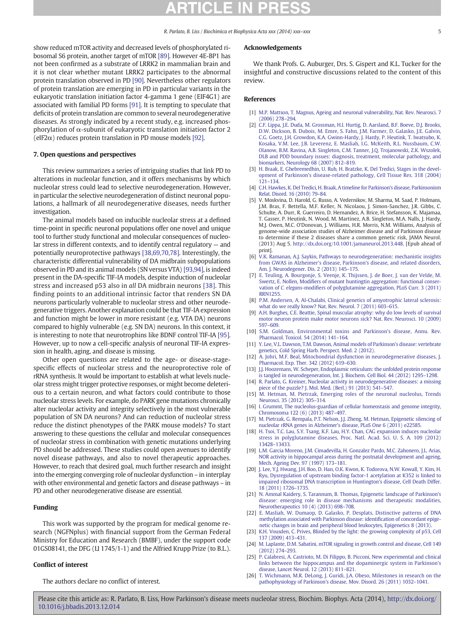<span id="page-4-0"></span>show reduced mTOR activity and decreased levels of phosphorylated ribosomal S6 protein, another target of mTOR [89]. However 4E-BP1 has not been confirmed as a substrate of LRRK2 in mammalian brain and it is not clear whether mutant LRRK2 participates to the abnormal protein translation observed in PD [90]. Nevertheless other regulators of protein translation are emerging in PD in particular variants in the eukaryotic translation initiation factor 4-gamma 1 gene (EIF4G1) are associated with familial PD forms [91]. It is tempting to speculate that deficits of protein translation are common to several neurodegenerative diseases. As strongly indicated by a recent study, e.g. increased phosphorylation of α-subunit of eukaryotic translation initiation factor 2 (eIF2 $\alpha$ ) reduces protein translation in PD mouse models [92].

### 7. Open questions and perspectives

This review summarizes a series of intriguing studies that link PD to alterations in nucleolar function, and it offers mechanisms by which nucleolar stress could lead to selective neurodegeneration. However, in particular the selective neurodegeneration of distinct neuronal populations, a hallmark of all neurodegenerative diseases, needs further investigation.

The animal models based on inducible nucleolar stress at a defined time-point in specific neuronal populations offer one novel and unique tool to further study functional and molecular consequences of nucleolar stress in different contexts, and to identify central regulatory — and potentially neuroprotective pathways [\[38,69,70,78\]](#page-5-0). Interestingly, the characteristic differential vulnerability of DA midbrain subpopulations observed in PD and its animal models (SN versus VTA) [\[93,94\],](#page-6-0) is indeed present in the DA-specific TIF-IA models, despite induction of nucleolar stress and increased p53 also in all DA midbrain neurons [38]. This finding points to an additional intrinsic factor that renders SN DA neurons particularly vulnerable to nucleolar stress and other neurodegenerative triggers. Another explanation could be that TIF-IA expression and function might be lower in more resistant (e.g. VTA DA) neurons compared to highly vulnerable (e.g. SN DA) neurons. In this context, it is interesting to note that neurotrophins like BDNF control TIF-IA [95]. However, up to now a cell-specific analysis of neuronal TIF-IA expression in health, aging, and disease is missing.

Other open questions are related to the age- or disease-stagespecific effects of nucleolar stress and the neuroprotective role of rRNA synthesis. It would be important to establish at what levels nucleolar stress might trigger protective responses, or might become deleterious to a certain neuron, and what factors could contribute to those nucleolar stress levels. For example, do PARK gene mutations chronically alter nucleolar activity and integrity selectively in the most vulnerable population of SN DA neurons? And can reduction of nucleolar stress reduce the distinct phenotypes of the PARK mouse models? To start answering to these questions the cellular and molecular consequences of nucleolar stress in combination with genetic mutations underlying PD should be addressed. These studies could open avenues to identify novel disease pathways, and also to novel therapeutic approaches. However, to reach that desired goal, much further research and insight into the emerging converging role of nucleolar dysfunction – in interplay with other environmental and genetic factors and disease pathways – in PD and other neurodegenerative disease are essential.

#### Funding

This work was supported by the program for medical genome research (NGFNplus) with financial support from the German Federal Ministry for Education and Research (BMBF), under the support code 01GS08141, the DFG (LI 1745/1-1) and the Alfried Krupp Prize (to B.L.).

### Conflict of interest

The authors declare no conflict of interest.

### Acknowledgements

We thank Profs. G. Auburger, Drs. S. Gispert and K.L. Tucker for the insightful and constructive discussions related to the content of this review.

#### References

- [1] M.P. Mattson, T. Magnus, Ageing and neuronal vulnerability, Nat. Rev. Neurosci. 7 (2006) 278–294.
- [2] C.F. Lippa, J.E. Duda, M. Grossman, H.I. Hurtig, D. Aarsland, B.F. Boeve, D.J. Brooks, D.W. Dickson, B. Dubois, M. Emre, S. Fahn, J.M. Farmer, D. Galasko, J.E. Galvin, C.G. Goetz, J.H. Growdon, K.A. Gwinn-Hardy, J. Hardy, P. Heutink, T. Iwatsubo, K. Kosaka, V.M. Lee, J.B. Leverenz, E. Masliah, I.G. McKeith, R.L. Nussbaum, C.W. Olanow, B.M. Ravina, A.B. Singleton, C.M. Tanner, J.Q. Trojanowski, Z.K. Wszolek, DLB and PDD boundary issues: diagnosis, treatment, molecular pathology, and biomarkers, Neurology 68 (2007) 812–819.
- [3] H. Braak, E. Ghebremedhin, U. Rub, H. Bratzke, K. Del Tredici, Stages in the development of Parkinson's disease-related pathology, Cell Tissue Res. 318 (2004) 121–134.
- [4] C.H. Hawkes, K. Del Tredici, H. Braak, A timeline for Parkinson's disease. Parkinsonism Relat. Disord. 16 (2010) 79–84.
- [5] V. Moskvina, D. Harold, G. Russo, A. Vedernikov, M. Sharma, M. Saad, P. Holmans, J.M. Bras, F. Bettella, M.F. Keller, N. Nicolaou, J. Simon-Sanchez, J.R. Gibbs, C. Schulte, A. Durr, R. Guerreiro, D. Hernandez, A. Brice, H. Stefansson, K. Majamaa, T. Gasser, P. Heutink, N. Wood, M. Martinez, A.B. Singleton, M.A. Nalls, J. Hardy, M.J. Owen, M.C. O'Donovan, J. Williams, H.R. Morris, N.M. Williams, Analysis of genome-wide association studies of Alzheimer disease and of Parkinson disease to determine if these 2 diseases share a common genetic risk, JAMA Neurol. (2013) Aug 5. http://dx.doi.org/10.1001/jamaneurol.2013.448. [Epub ahead of
- print]. [6] V.K. Ramanan, A.J. Saykin, Pathways to neurodegeneration: mechanistic insights from GWAS in Alzheimer's disease, Parkinson's disease, and related disorders, Am. J. Neurodegener. Dis. 2 (2013) 145–175.
- [7] E. Teuling, A. Bourgonje, S. Veenje, K. Thijssen, J. de Boer, J. van der Velde, M. Swertz, E. Nollen, Modifiers of mutant huntingtin aggregation: functional conservation of C. elegans-modifiers of polyglutamine aggregation, PLoS Curr. 3 (2011) RRN1255.
- [8] P.M. Andersen, A. Al-Chalabi, Clinical genetics of amyotrophic lateral sclerosis: what do we really know? Nat. Rev. Neurol. 7 (2011) 603–615.
- [9] A.H. Burghes, C.E. Beattie, Spinal muscular atrophy: why do low levels of survival motor neuron protein make motor neurons sick? Nat. Rev. Neurosci. 10 (2009) 597–609.
- [10] S.M. Goldman, Environmental toxins and Parkinson's disease, Annu. Rev. Pharmacol. Toxicol. 54 (2014) 141–164.
- [11] Y. Lee, V.L. Dawson, T.M. Dawson, Animal models of Parkinson's disease: vertebrate genetics, Cold Spring Harb. Perspect. Med. 2 (2012).
- [12] A. Johri, M.F. Beal, Mitochondrial dysfunction in neurodegenerative diseases, J. Pharmacol. Exp. Ther. 342 (2012) 619–630.
- [13] J.J. Hoozemans, W. Scheper, Endoplasmic reticulum: the unfolded protein response is tangled in neurodegeneration, Int. J. Biochem. Cell Biol. 44 (2012) 1295–1298.
- [14] R. Parlato, G. Kreiner, Nucleolar activity in neurodegenerative diseases: a missing piece of the puzzle? J. Mol. Med. (Berl.) 91 (2013) 541–547.
- [15] M. Hetman, M. Pietrzak, Emerging roles of the neuronal nucleolus, Trends Neurosci. 35 (2012) 305–314.
- [16] I. Grummt, The nucleolus-guardian of cellular homeostasis and genome integrity, Chromosoma 122 (6) (2013) 487–497.
- [17] M. Pietrzak, G. Rempala, P.T. Nelson, J.J. Zheng, M. Hetman, Epigenetic silencing of nucleolar rRNA genes in Alzheimer's disease, PLoS One 6 (2011) e22585.
- [18] H. Tsoi, T.C. Lau, S.Y. Tsang, K.F. Lau, H.Y. Chan, CAG expansion induces nucleolar stress in polyglutamine diseases, Proc. Natl. Acad. Sci. U. S. A. 109 (2012) 13428–13433.
- [19] L.M. Garcia Moreno, J.M. Cimadevilla, H. Gonzalez Pardo, M.C. Zahonero, J.L. Arias, NOR activity in hippocampal areas during the postnatal development and ageing, Mech. Ageing Dev. 97 (1997) 173–181.
- [20] J. Lee, Y.J. Hwang, J.H. Boo, D. Han, O.K. Kwon, K. Todorova, N.W. Kowall, Y. Kim, H. Ryu, Dysregulation of upstream binding factor-1 acetylation at K352 is linked to impaired ribosomal DNA transcription in Huntington's disease, Cell Death Differ. 18 (2011) 1726–1735.
- [21] N. Ammal Kaidery, S. Tarannum, B. Thomas, Epigenetic landscape of Parkinson's disease: emerging role in disease mechanisms and therapeutic modalities, Neurotherapeutics 10 (4) (2013) 698–708.
- [22] E. Masliah, W. Dumaop, D. Galasko, P. Desplats, Distinctive patterns of DNA methylation associated with Parkinson disease: identification of concordant epigenetic changes in brain and peripheral blood leukocytes, Epigenetics 8 (2013).
- [23] K.H. Vousden, C. Prives, Blinded by the light: the growing complexity of p53, Cell 137 (2009) 413–431.
- [24] M. Laplante, D.M. Sabatini, mTOR signaling in growth control and disease, Cell 149 (2012) 274–293.
- [25] P. Calabresi, A. Castrioto, M. Di Filippo, B. Picconi, New experimental and clinical links between the hippocampus and the dopaminergic system in Parkinson's disease, Lancet Neurol. 12 (2013) 811–821.
- [26] T. Wichmann, M.R. DeLong, J. Guridi, J.A. Obeso, Milestones in research on the pathophysiology of Parkinson's disease, Mov. Disord. 26 (2011) 1032–1041.

Please cite this article as: R. Parlato, B. Liss, How Parkinson's disease meets nucleolar stress, Biochim. Biophys. Acta (2014), [http://dx.doi.org/](http://dx.doi.org/10.1016/j.bbadis.2013.12.014) [10.1016/j.bbadis.2013.12.014](http://dx.doi.org/10.1016/j.bbadis.2013.12.014)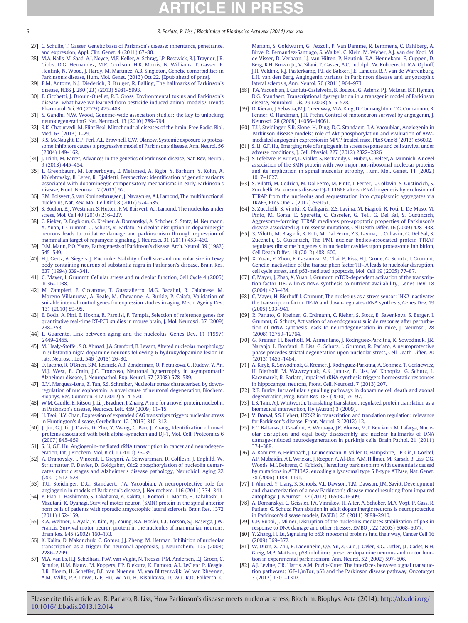- [27] C. Schulte, T. Gasser, Genetic basis of Parkinson's disease: inheritance, penetrance, and expression, Appl. Clin. Genet. 4 (2011) 67–80.
- [28] M.A. Nalls, M. Saad, A.J. Noyce, M.F. Keller, A. Schrag, J.P. Bestwick, B.J. Traynor, J.R. Gibbs, D.G. Hernandez, M.R. Cookson, H.R. Morris, N. Williams, T. Gasser, P. Heutink, N. Wood, J. Hardy, M. Martinez, A.B. Singleton, Genetic comorbidities in Parkinson's disease, Hum. Mol. Genet. (2013) Oct 22. [Epub ahead of print].
- [29] P.M. Antony, N.J. Diederich, R. Kruger, R. Balling, The hallmarks of Parkinson's disease, FEBS J. 280 (23) (2013) 5981–5993.
- [30] F. Cicchetti, J. Drouin-Ouellet, R.E. Gross, Environmental toxins and Parkinson's disease: what have we learned from pesticide-induced animal models? Trends Pharmacol. Sci. 30 (2009) 475–483.
- [31] S. Gandhi, N.W. Wood, Genome-wide association studies: the key to unlocking neurodegeneration? Nat. Neurosci. 13 (2010) 789–794.
- [32] R.K. Chaturvedi, M. Flint Beal, Mitochondrial diseases of the brain, Free Radic. Biol. Med. 63 (2013) 1–29.
- [33] K.S. McNaught, D.P. Perl, A.L. Brownell, C.W. Olanow, Systemic exposure to proteasome inhibitors causes a progressive model of Parkinson's disease, Ann. Neurol. 56 (2004) 149–162.
- [34] J. Trinh, M. Farrer, Advances in the genetics of Parkinson disease, Nat. Rev. Neurol. 9 (2013) 445–454.
- [35] L. Greenbaum, M. Lorberboym, E. Melamed, A. Rigbi, Y. Barhum, Y. Kohn, A. Khlebtovsky, B. Lerer, R. Djaldetti, Perspective: identification of genetic variants associated with dopaminergic compensatory mechanisms in early Parkinson's disease, Front. Neurosci. 7 (2013) 52.
- [36] F.M. Boisvert, S. van Koningsbruggen, J. Navascues, A.I. Lamond, The multifunctional nucleolus, Nat. Rev. Mol. Cell Biol. 8 (2007) 574–585.
- [37] S. Boulon, B.J. Westman, S. Hutten, F.M. Boisvert, A.I. Lamond, The nucleolus under stress, Mol. Cell 40 (2010) 216–227.
- [38] C. Rieker, D. Engblom, G. Kreiner, A. Domanskyi, A. Schober, S. Stotz, M. Neumann, X. Yuan, I. Grummt, G. Schutz, R. Parlato, Nucleolar disruption in dopaminergic neurons leads to oxidative damage and parkinsonism through repression of mammalian target of rapamycin signaling, J. Neurosci. 31 (2011) 453–460.
- [39] D.M. Mann, P.O. Yates, Pathogenesis of Parkinson's disease, Arch. Neurol. 39 (1982) 545–549.
- [40] H.J. Gertz, A. Siegers, J. Kuchinke, Stability of cell size and nucleolar size in Lewy body containing neurons of substantia nigra in Parkinson's disease, Brain Res. 637 (1994) 339–341.
- [41] C. Mayer, I. Grummt, Cellular stress and nucleolar function, Cell Cycle 4 (2005) 1036–1038.
- [42] M. Zampieri, F. Ciccarone, T. Guastafierro, M.G. Bacalini, R. Calabrese, M. Moreno-Villanueva, A. Reale, M. Chevanne, A. Burkle, P. Caiafa, Validation of suitable internal control genes for expression studies in aging, Mech. Ageing Dev. 131 (2010) 89–95.
- [43] E. Boda, A. Pini, E. Hoxha, R. Parolisi, F. Tempia, Selection of reference genes for quantitative real-time RT-PCR studies in mouse brain, J. Mol. Neurosci. 37 (2009) 238–253.
- [44] L. Guarente, Link between aging and the nucleolus, Genes Dev. 11 (1997) 2449–2455.
- [45] M. Healy-Stoffel, S.O. Ahmad, J.A. Stanford, B. Levant, Altered nucleolar morphology in substantia nigra dopamine neurons following 6-hydroxydopamine lesion in rats, Neurosci. Lett. 546 (2013) 26–30.
- [46] D. Iacono, R. O'Brien, S.M. Resnick, A.B. Zonderman, O. Pletnikova, G. Rudow, Y. An, M.J. West, B. Crain, J.C. Troncoso, Neuronal hypertrophy in asymptomatic Alzheimer disease, J. Neuropathol. Exp. Neurol. 67 (2008) 578–589.
- [47] E.M. Marquez-Lona, Z. Tan, S.S. Schreiber, Nucleolar stress characterized by downregulation of nucleophosmin: a novel cause of neuronal degeneration, Biochem. Biophys. Res. Commun. 417 (2012) 514–520.
- [48] W.M. Caudle, E. Kitsou, J. Li, J. Bradner, J. Zhang, A role for a novel protein, nucleolin, in Parkinson's disease, Neurosci. Lett. 459 (2009) 11–15.
- [49] H. Tsoi, H.Y. Chan, Expression of expanded CAG transcripts triggers nucleolar stress in Huntington's disease, Cerebellum 12 (2013) 310–312.
- [50] J. Jin, G.J. Li, J. Davis, D. Zhu, Y. Wang, C. Pan, J. Zhang, Identification of novel proteins associated with both alpha-synuclein and DJ-1, Mol. Cell. Proteomics 6 (2007) 845–859.
- [51] S. Li, G.F. Hu, Angiogenin-mediated rRNA transcription in cancer and neurodegeneration, Int. J Biochem. Mol. Biol. 1 (2010) 26–35.
- [52] A. Dranovsky, I. Vincent, L. Gregori, A. Schwarzman, D. Colflesh, J. Enghild, W. Strittmatter, P. Davies, D. Goldgaber, Cdc2 phosphorylation of nucleolin demarcates mitotic stages and Alzheimer's disease pathology, Neurobiol. Aging 22 (2001) 517–528.
- [53] T.U. Steidinger, D.G. Standaert, T.A. Yacoubian, A neuroprotective role for angiogenin in models of Parkinson's disease, J. Neurochem. 116 (2011) 334–341.
- [54] Y. Piao, T. Hashimoto, S. Takahama, A. Kakita, T. Komori, T. Morita, H. Takahashi, T. Mizutani, K. Oyanagi, Survival motor neuron (SMN) protein in the spinal anterior horn cells of patients with sporadic amyotrophic lateral sclerosis, Brain Res. 1372 (2011) 152–159.
- [55] K.A. Wehner, L. Ayala, Y. Kim, P.J. Young, B.A. Hosler, C.L. Lorson, S.J. Baserga, J.W. Francis, Survival motor neuron protein in the nucleolus of mammalian neurons, Brain Res. 945 (2002) 160–173.
- [56] K. Kalita, D. Makonchuk, C. Gomes, J.J. Zheng, M. Hetman, Inhibition of nucleolar transcription as a trigger for neuronal apoptosis, J. Neurochem. 105 (2008) 2286–2299.
- [57] M.A. van Es, H.J. Schelhaas, P.W. van Vught, N. Ticozzi, P.M. Andersen, E.J. Groen, C. Schulte, H.M. Blauw, M. Koppers, F.P. Diekstra, K. Fumoto, A.L. LeClerc, P. Keagle, B.R. Bloem, H. Scheffer, B.F. van Nuenen, M. van Blitterswijk, W. van Rheenen, A.M. Wills, P.P. Lowe, G.F. Hu, W. Yu, H. Kishikawa, D. Wu, R.D. Folkerth, C.

Mariani, S. Goldwurm, G. Pezzoli, P. Van Damme, R. Lemmens, C. Dahlberg, A. Birve, R. Fernandez-Santiago, S. Waibel, C. Klein, M. Weber, A.J. van der Kooi, M. de Visser, D. Verbaan, J.J. van Hilten, P. Heutink, E.A. Hennekam, E. Cuppen, D. Berg, R.H. Brown Jr., V. Silani, T. Gasser, A.C. Ludolph, W. Robberecht, R.A. Ophoff, J.H. Veldink, R.J. Pasterkamp, P.I. de Bakker, J.E. Landers, B.P. van de Warrenburg, L.H. van den Berg, Angiogenin variants in Parkinson disease and amyotrophic lateral sclerosis, Ann. Neurol. 70 (2011) 964–973.

- [58] T.A. Yacoubian, I. Cantuti-Castelvetri, B. Bouzou, G. Asteris, P.J. McLean, B.T. Hyman, D.G. Standaert, Transcriptional dysregulation in a transgenic model of Parkinson disease, Neurobiol. Dis. 29 (2008) 515–528.
- [59] D. Kieran, J. Sebastia, M.J. Greenway, M.A. King, D. Connaughton, C.G. Concannon, B. Fenner, O. Hardiman, J.H. Prehn, Control of motoneuron survival by angiogenin, J. Neurosci. 28 (2008) 14056–14061.
- [60] T.U. Steidinger, S.R. Slone, H. Ding, D.G. Standaert, T.A. Yacoubian, Angiogenin in Parkinson disease models: role of Akt phosphorylation and evaluation of AAVmediated angiogenin expression in MPTP treated mice, PLoS One 8 (2013) e56092.
- [61] S. Li, G.F. Hu, Emerging role of angiogenin in stress response and cell survival under adverse conditions, J. Cell. Physiol. 227 (2012) 2822–2826.
- [62] S. Lefebvre, P. Burlet, L. Viollet, S. Bertrandy, C. Huber, C. Belser, A. Munnich, A novel association of the SMN protein with two major non-ribosomal nucleolar proteins and its implication in spinal muscular atrophy, Hum. Mol. Genet. 11 (2002) 1017–1027.
- [63] S. Vilotti, M. Codrich, M. Dal Ferro, M. Pinto, I. Ferrer, L. Collavin, S. Gustincich, S. Zucchelli, Parkinson's disease DJ-1 L166P alters rRNA biogenesis by exclusion of TTRAP from the nucleolus and sequestration into cytoplasmic aggregates via TRAF6, PLoS One 7 (2012) e35051.
- [64] S. Zucchelli, S. Vilotti, R. Calligaris, Z.S. Lavina, M. Biagioli, R. Foti, L. De Maso, M. Pinto, M. Gorza, E. Speretta, C. Casseler, G. Tell, G. Del Sal, S. Gustincich, Aggresome-forming TTRAP mediates pro-apoptotic properties of Parkinson's disease-associated DJ-1 missense mutations, Cell Death Differ. 16 (2009) 428–438.
- [65] S. Vilotti, M. Biagioli, R. Foti, M. Dal Ferro, Z.S. Lavina, L. Collavin, G. Del Sal, S. Zucchelli, S. Gustincich, The PML nuclear bodies-associated protein TTRAP regulates ribosome biogenesis in nucleolar cavities upon proteasome inhibition, Cell Death Differ. 19 (2012) 488–500.
- [66] X. Yuan, Y. Zhou, E. Casanova, M. Chai, E. Kiss, H.J. Grone, G. Schutz, I. Grummt, Genetic inactivation of the transcription factor TIF-IA leads to nucleolar disruption, cell cycle arrest, and p53-mediated apoptosis, Mol. Cell 19 (2005) 77–87.
- [67] C. Mayer, J. Zhao, X. Yuan, I. Grummt, mTOR-dependent activation of the transcription factor TIF-IA links rRNA synthesis to nutrient availability, Genes Dev. 18 (2004) 423–434.
- [68] C. Mayer, H. Bierhoff, I. Grummt, The nucleolus as a stress sensor: JNK2 inactivates the transcription factor TIF-IA and down-regulates rRNA synthesis, Genes Dev. 19 (2005) 933–941.
- [69] R. Parlato, G. Kreiner, G. Erdmann, C. Rieker, S. Stotz, E. Savenkova, S. Berger, I. Grummt, G. Schutz, Activation of an endogenous suicide response after perturbation of rRNA synthesis leads to neurodegeneration in mice, J. Neurosci. 28 (2008) 12759–12764.
- [70] G. Kreiner, H. Bierhoff, M. Armentano, J. Rodriguez-Parkitna, K. Sowodniok, J.R. Naranjo, L. Bonfanti, B. Liss, G. Schutz, I. Grummt, R. Parlato, A neuroprotective phase precedes striatal degeneration upon nucleolar stress, Cell Death Differ. 20 (2013) 1455–1464.
- [71] A. Kiryk, K. Sowodniok, G. Kreiner, J. Rodriguez-Parkitna, A. Sonmez, T. Gorkiewicz, H. Bierhoff, M. Wawrzyniak, A.K. Janusz, B. Liss, W. Konopka, G. Schutz, L. Kaczmarek, R. Parlato, Impaired rRNA synthesis triggers homeostatic responses in hippocampal neurons, Front. Cell. Neurosci. 7 (2013) 207.
- [72] R.E. Burke, Intracellular signalling pathways in dopamine cell death and axonal degeneration, Prog. Brain Res. 183 (2010) 79–97.
- [73] L.S. Tain, A.J. Whitworth, Translating translation: regulated protein translation as a biomedical intervention, Fly (Austin) 3 (2009).
- [74] V. Dorval, S.S. Hebert, LRRK2 in transcription and translation regulation: relevance for Parkinson's disease, Front. Neurol. 3 (2012) 12.
- [75] F.C. Baltanas, I. Casafont, E. Weruaga, J.R. Alonso, M.T. Berciano, M. Lafarga, Nucleolar disruption and cajal body disassembly are nuclear hallmarks of DNA damage-induced neurodegeneration in purkinje cells, Brain Pathol. 21 (2011) 374–388.
- [76] A. Ramirez, A. Heimbach, J. Grundemann, B. Stiller, D. Hampshire, L.P. Cid, I. Goebel, A.F. Mubaidin, A.L. Wriekat, J. Roeper, A. Al-Din, A.M. Hillmer, M. Karsak, B. Liss, C.G. Woods, M.I. Behrens, C. Kubisch, Hereditary parkinsonism with dementia is caused by mutations in ATP13A2, encoding a lysosomal type 5 P-type ATPase, Nat. Genet. 38 (2006) 1184–1191.
- [77] I. Ahmed, Y. Liang, S. Schools, V.L. Dawson, T.M. Dawson, J.M. Savitt, Development and characterization of a new Parkinson's disease model resulting from impaired autophagy, J. Neurosci. 32 (2012) 16503–16509.
- [78] A. Domanskyi, C. Geissler, I.A. Vinnikov, H. Alter, A. Schober, M.A. Vogt, P. Gass, R. Parlato, G. Schutz, Pten ablation in adult dopaminergic neurons is neuroprotective in Parkinson's disease models, FASEB J. 25 (2011) 2898–2910.
- [79] C.P. Rubbi, J. Milner, Disruption of the nucleolus mediates stabilization of p53 in response to DNA damage and other stresses, EMBO J. 22 (2003) 6068–6077.
- [80] Y. Zhang, H. Lu, Signaling to p53: ribosomal proteins find their way, Cancer Cell 16 (2009) 369–377.
- [81] W. Duan, X. Zhu, B. Ladenheim, Q.S. Yu, Z. Guo, J. Oyler, R.G. Cutler, J.L. Cadet, N.H. Greig, M.P. Mattson, p53 inhibitors preserve dopamine neurons and motor function in experimental parkinsonism, Ann. Neurol. 52 (2002) 597–606.
- [82] A.J. Levine, C.R. Harris, A.M. Puzio-Kuter, The interfaces between signal transduction pathways: IGF-1/mTor, p53 and the Parkinson disease pathway, Oncotarget 3 (2012) 1301–1307.

<span id="page-5-0"></span>